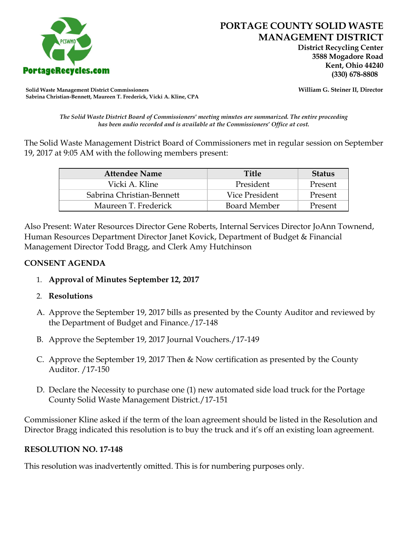

 **District Recycling Center 3588 Mogadore Road Kent, Ohio 44240**

**Solid Waste Management District Commissioners William G. Steiner II, Director Sabrina Christian-Bennett, Maureen T. Frederick, Vicki A. Kline, CPA**

*The Solid Waste District Board of Commissioners' meeting minutes are summarized. The entire proceeding has been audio recorded and is available at the Commissioners' Office at cost.*

The Solid Waste Management District Board of Commissioners met in regular session on September 19, 2017 at 9:05 AM with the following members present:

| <b>Attendee Name</b>      | <b>Title</b>        | <b>Status</b> |
|---------------------------|---------------------|---------------|
| Vicki A. Kline            | President           | Present       |
| Sabrina Christian-Bennett | Vice President      | Present       |
| Maureen T. Frederick      | <b>Board Member</b> | Present       |

Also Present: Water Resources Director Gene Roberts, Internal Services Director JoAnn Townend, Human Resources Department Director Janet Kovick, Department of Budget & Financial Management Director Todd Bragg, and Clerk Amy Hutchinson

#### **CONSENT AGENDA**

- 1. **Approval of Minutes September 12, 2017**
- 2. **Resolutions**
- A. Approve the September 19, 2017 bills as presented by the County Auditor and reviewed by the Department of Budget and Finance./17-148
- B. Approve the September 19, 2017 Journal Vouchers./17-149
- C. Approve the September 19, 2017 Then & Now certification as presented by the County Auditor. /17-150
- D. Declare the Necessity to purchase one (1) new automated side load truck for the Portage County Solid Waste Management District./17-151

Commissioner Kline asked if the term of the loan agreement should be listed in the Resolution and Director Bragg indicated this resolution is to buy the truck and it's off an existing loan agreement.

# **RESOLUTION NO. 17-148**

This resolution was inadvertently omitted. This is for numbering purposes only.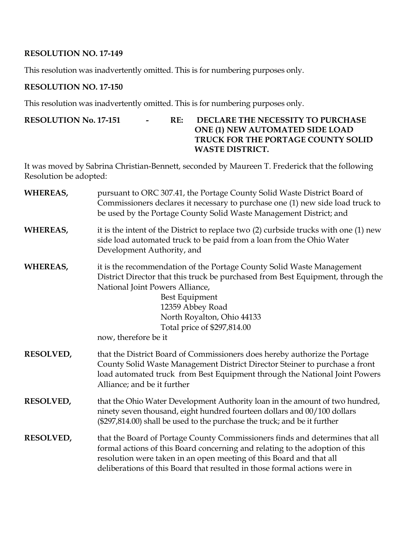# **RESOLUTION NO. 17-149**

This resolution was inadvertently omitted. This is for numbering purposes only.

#### **RESOLUTION NO. 17-150**

This resolution was inadvertently omitted. This is for numbering purposes only.

# **RESOLUTION No. 17-151 - RE: DECLARE THE NECESSITY TO PURCHASE ONE (1) NEW AUTOMATED SIDE LOAD TRUCK FOR THE PORTAGE COUNTY SOLID WASTE DISTRICT.**

It was moved by Sabrina Christian-Bennett, seconded by Maureen T. Frederick that the following Resolution be adopted:

| WHEREAS,         | pursuant to ORC 307.41, the Portage County Solid Waste District Board of<br>Commissioners declares it necessary to purchase one (1) new side load truck to<br>be used by the Portage County Solid Waste Management District; and                                                                                       |
|------------------|------------------------------------------------------------------------------------------------------------------------------------------------------------------------------------------------------------------------------------------------------------------------------------------------------------------------|
| WHEREAS,         | it is the intent of the District to replace two (2) curbside trucks with one (1) new<br>side load automated truck to be paid from a loan from the Ohio Water<br>Development Authority, and                                                                                                                             |
| WHEREAS,         | it is the recommendation of the Portage County Solid Waste Management<br>District Director that this truck be purchased from Best Equipment, through the<br>National Joint Powers Alliance,<br>Best Equipment<br>12359 Abbey Road<br>North Royalton, Ohio 44133<br>Total price of \$297,814.00<br>now, therefore be it |
| <b>RESOLVED,</b> | that the District Board of Commissioners does hereby authorize the Portage<br>County Solid Waste Management District Director Steiner to purchase a front<br>load automated truck from Best Equipment through the National Joint Powers<br>Alliance; and be it further                                                 |
| <b>RESOLVED,</b> | that the Ohio Water Development Authority loan in the amount of two hundred,<br>ninety seven thousand, eight hundred fourteen dollars and 00/100 dollars<br>(\$297,814.00) shall be used to the purchase the truck; and be it further                                                                                  |
| RESOLVED,        | that the Board of Portage County Commissioners finds and determines that all<br>formal actions of this Board concerning and relating to the adoption of this<br>resolution were taken in an open meeting of this Board and that all<br>deliberations of this Board that resulted in those formal actions were in       |